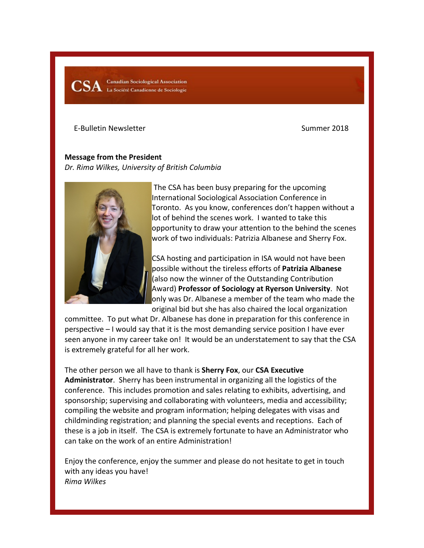$\textbf{CSA}$   $\;\;$  Canadian Sociological Association<br>La Société Canadienne de Sociologie **Canadian Sociological Association** 

E-Bulletin Newsletter Summer 2018

**Message from the President**  *Dr. Rima Wilkes, University of British Columbia*



The CSA has been busy preparing for the upcoming International Sociological Association Conference in Toronto. As you know, conferences don't happen without a lot of behind the scenes work. I wanted to take this opportunity to draw your attention to the behind the scenes work of two individuals: Patrizia Albanese and Sherry Fox.

CSA hosting and participation in ISA would not have been possible without the tireless efforts of **Patrizia Albanese** (also now the winner of the Outstanding Contribution Award) **Professor of Sociology at Ryerson University**. Not only was Dr. Albanese a member of the team who made the original bid but she has also chaired the local organization

committee. To put what Dr. Albanese has done in preparation for this conference in perspective – I would say that it is the most demanding service position I have ever seen anyone in my career take on! It would be an understatement to say that the CSA is extremely grateful for all her work.

The other person we all have to thank is **Sherry Fox**, our **CSA Executive Administrator**. Sherry has been instrumental in organizing all the logistics of the conference. This includes promotion and sales relating to exhibits, advertising, and sponsorship; supervising and collaborating with volunteers, media and accessibility; compiling the website and program information; helping delegates with visas and childminding registration; and planning the special events and receptions. Each of these is a job in itself. The CSA is extremely fortunate to have an Administrator who can take on the work of an entire Administration!

Enjoy the conference, enjoy the summer and please do not hesitate to get in touch with any ideas you have! *Rima Wilkes*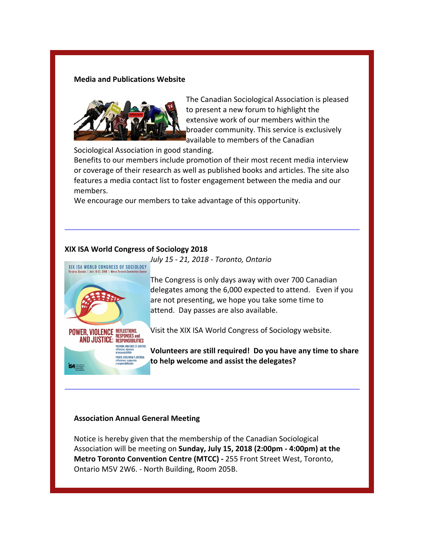#### **Media and Publications Website**



The Canadian Sociological Association is pleased to present a new forum to highlight the extensive work of our members within the broader community. This service is exclusively available to members of the Canadian

Sociological Association in good standing.

Benefits to our members include promotion of their most recent media interview or coverage of their research as well as published books and articles. The site also features a media contact list to foster engagement between the media and our members.

We encourage our members to take advantage of this opportunity.

## **XIX ISA World Congress of Sociology 2018**



POUVOIR, VIOLENCE ET JUSTICE: **ODER, VIOLENCIA Y JUSTICIA:** 

**SA** International

The Congress is only days away with over 700 Canadian delegates among the 6,000 expected to attend. Even if you are not presenting, we hope you take some time to attend. Day passes are also available.

Visit the XIX ISA World Congress of Sociology website.

**Volunteers are still required! Do you have any time to share to help welcome and assist the delegates?**

# **Association Annual General Meeting**

Notice is hereby given that the membership of the Canadian Sociological Association will be meeting on **Sunday, July 15, 2018 (2:00pm - 4:00pm) at the Metro Toronto Convention Centre (MTCC) -** 255 Front Street West, Toronto, Ontario M5V 2W6. - North Building, Room 205B.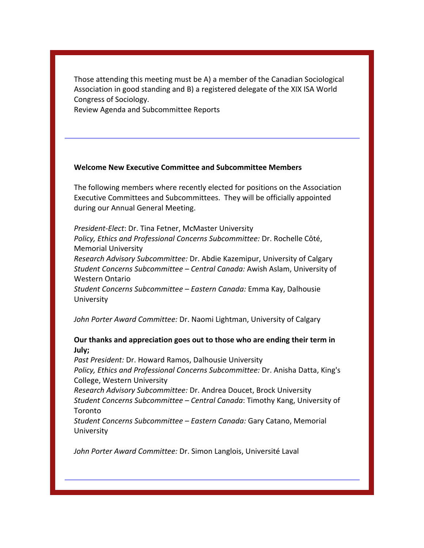Those attending this meeting must be A) a member of the Canadian Sociological Association in good standing and B) a registered delegate of the XIX ISA World Congress of Sociology.

Review Agenda and Subcommittee Reports

### **Welcome New Executive Committee and Subcommittee Members**

The following members where recently elected for positions on the Association Executive Committees and Subcommittees. They will be officially appointed during our Annual General Meeting.

*President-Elect*: Dr. Tina Fetner, McMaster University *Policy, Ethics and Professional Concerns Subcommittee:* Dr. Rochelle Côté, Memorial University *Research Advisory Subcommittee:* Dr. Abdie Kazemipur, University of Calgary *Student Concerns Subcommittee – Central Canada:* Awish Aslam, University of Western Ontario *Student Concerns Subcommittee – Eastern Canada:* Emma Kay, Dalhousie University

*John Porter Award Committee:* Dr. Naomi Lightman, University of Calgary

## **Our thanks and appreciation goes out to those who are ending their term in July;**

*Past President:* Dr. Howard Ramos, Dalhousie University *Policy, Ethics and Professional Concerns Subcommittee:* Dr. Anisha Datta, King's College, Western University *Research Advisory Subcommittee:* Dr. Andrea Doucet, Brock University

*Student Concerns Subcommittee – Central Canada*: Timothy Kang, University of Toronto

*Student Concerns Subcommittee – Eastern Canada:* Gary Catano, Memorial University

*John Porter Award Committee:* Dr. Simon Langlois, Université Laval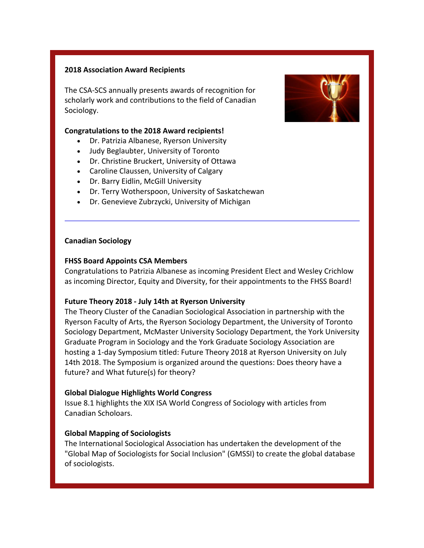## **2018 Association Award Recipients**

The CSA-SCS annually presents awards of recognition for scholarly work and contributions to the field of Canadian Sociology.

### **Congratulations to the 2018 Award recipients!**

- Dr. Patrizia Albanese, Ryerson University
- Judy Beglaubter, University of Toronto
- Dr. Christine Bruckert, University of Ottawa
- Caroline Claussen, University of Calgary
- Dr. Barry Eidlin, McGill University
- Dr. Terry Wotherspoon, University of Saskatchewan
- Dr. Genevieve Zubrzycki, University of Michigan

#### **Canadian Sociology**

## **FHSS Board Appoints CSA Members**

Congratulations to Patrizia Albanese as incoming President Elect and Wesley Crichlow as incoming Director, Equity and Diversity, for their appointments to the FHSS Board!

# **Future Theory 2018 - July 14th at Ryerson University**

The Theory Cluster of the Canadian Sociological Association in partnership with the Ryerson Faculty of Arts, the Ryerson Sociology Department, the University of Toronto Sociology Department, McMaster University Sociology Department, the York University Graduate Program in Sociology and the York Graduate Sociology Association are hosting a 1-day Symposium titled: Future Theory 2018 at Ryerson University on July 14th 2018. The Symposium is organized around the questions: Does theory have a future? and What future(s) for theory?

#### **Global Dialogue Highlights World Congress**

Issue 8.1 highlights the XIX ISA World Congress of Sociology with articles from Canadian Scholoars.

## **Global Mapping of Sociologists**

The International Sociological Association has undertaken the development of the "Global Map of Sociologists for Social Inclusion" (GMSSI) to create the global database of sociologists.